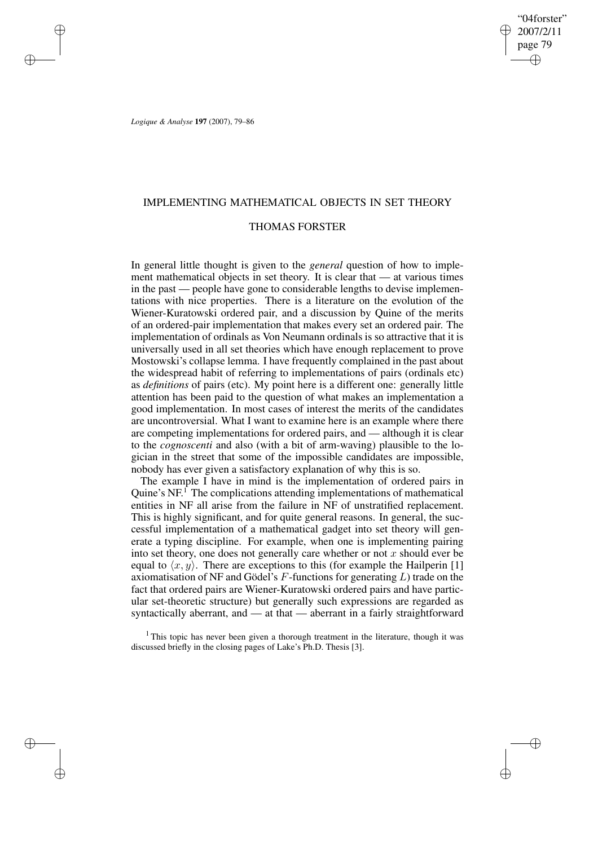"04forster" 2007/2/11 page 79 ✐ ✐

✐

✐

*Logique & Analyse* **197** (2007), 79–86

✐

✐

✐

✐

## IMPLEMENTING MATHEMATICAL OBJECTS IN SET THEORY

## THOMAS FORSTER

In general little thought is given to the *general* question of how to implement mathematical objects in set theory. It is clear that — at various times in the past — people have gone to considerable lengths to devise implementations with nice properties. There is a literature on the evolution of the Wiener-Kuratowski ordered pair, and a discussion by Quine of the merits of an ordered-pair implementation that makes every set an ordered pair. The implementation of ordinals as Von Neumann ordinals is so attractive that it is universally used in all set theories which have enough replacement to prove Mostowski's collapse lemma. I have frequently complained in the past about the widespread habit of referring to implementations of pairs (ordinals etc) as *definitions* of pairs (etc). My point here is a different one: generally little attention has been paid to the question of what makes an implementation a good implementation. In most cases of interest the merits of the candidates are uncontroversial. What I want to examine here is an example where there are competing implementations for ordered pairs, and — although it is clear to the *cognoscenti* and also (with a bit of arm-waving) plausible to the logician in the street that some of the impossible candidates are impossible, nobody has ever given a satisfactory explanation of why this is so.

The example I have in mind is the implementation of ordered pairs in Quine's NF.<sup>1</sup> The complications attending implementations of mathematical entities in NF all arise from the failure in NF of unstratified replacement. This is highly significant, and for quite general reasons. In general, the successful implementation of a mathematical gadget into set theory will generate a typing discipline. For example, when one is implementing pairing into set theory, one does not generally care whether or not  $x$  should ever be equal to  $\langle x, y \rangle$ . There are exceptions to this (for example the Hailperin [1] axiomatisation of NF and Gödel's  $F$ -functions for generating  $L$ ) trade on the fact that ordered pairs are Wiener-Kuratowski ordered pairs and have particular set-theoretic structure) but generally such expressions are regarded as syntactically aberrant, and — at that — aberrant in a fairly straightforward

<sup>1</sup> This topic has never been given a thorough treatment in the literature, though it was discussed briefly in the closing pages of Lake's Ph.D. Thesis [3].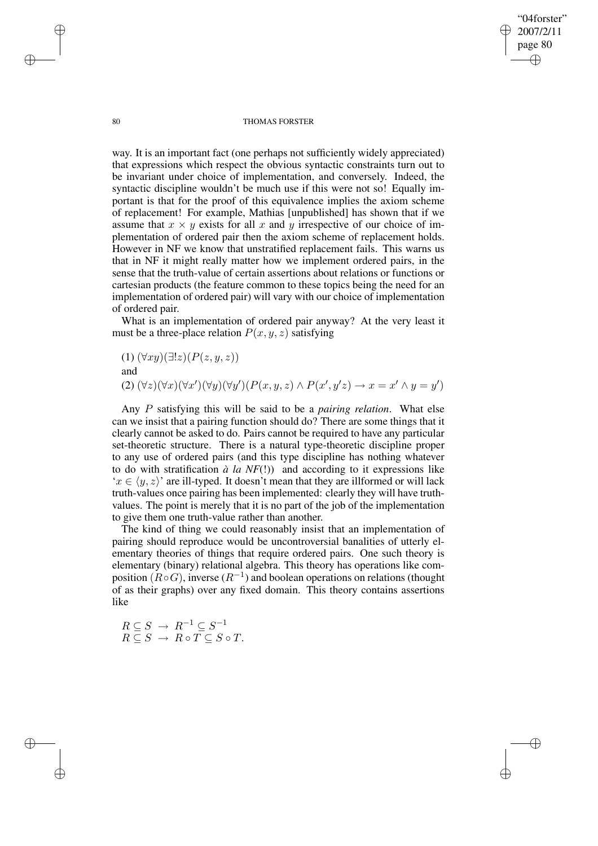80 THOMAS FORSTER

"04forster" 2007/2/11 page 80

✐

✐

✐

✐

way. It is an important fact (one perhaps not sufficiently widely appreciated) that expressions which respect the obvious syntactic constraints turn out to be invariant under choice of implementation, and conversely. Indeed, the syntactic discipline wouldn't be much use if this were not so! Equally important is that for the proof of this equivalence implies the axiom scheme of replacement! For example, Mathias [unpublished] has shown that if we assume that  $x \times y$  exists for all x and y irrespective of our choice of implementation of ordered pair then the axiom scheme of replacement holds. However in NF we know that unstratified replacement fails. This warns us that in NF it might really matter how we implement ordered pairs, in the sense that the truth-value of certain assertions about relations or functions or cartesian products (the feature common to these topics being the need for an implementation of ordered pair) will vary with our choice of implementation of ordered pair.

What is an implementation of ordered pair anyway? At the very least it must be a three-place relation  $P(x, y, z)$  satisfying

(1) 
$$
(\forall xy)(\exists!z)(P(z,y,z))
$$
  
and  
(2)  $(\forall z)(\forall x)(\forall x')(\forall y)(\forall y')(P(x,y,z) \land P(x',y'z) \rightarrow x = x' \land y = y')$ 

Any P satisfying this will be said to be a *pairing relation*. What else can we insist that a pairing function should do? There are some things that it clearly cannot be asked to do. Pairs cannot be required to have any particular set-theoretic structure. There is a natural type-theoretic discipline proper to any use of ordered pairs (and this type discipline has nothing whatever to do with stratification  $\hat{a}$  *la NF*(!)) and according to it expressions like  $x \in \langle y, z \rangle'$  are ill-typed. It doesn't mean that they are illformed or will lack truth-values once pairing has been implemented: clearly they will have truthvalues. The point is merely that it is no part of the job of the implementation to give them one truth-value rather than another.

The kind of thing we could reasonably insist that an implementation of pairing should reproduce would be uncontroversial banalities of utterly elementary theories of things that require ordered pairs. One such theory is elementary (binary) relational algebra. This theory has operations like composition  $(R \circ G)$ , inverse  $(R^{-1})$  and boolean operations on relations (thought of as their graphs) over any fixed domain. This theory contains assertions like

$$
R \subseteq S \rightarrow R^{-1} \subseteq S^{-1}
$$
  

$$
R \subseteq S \rightarrow R \circ T \subseteq S \circ T.
$$

✐

✐

✐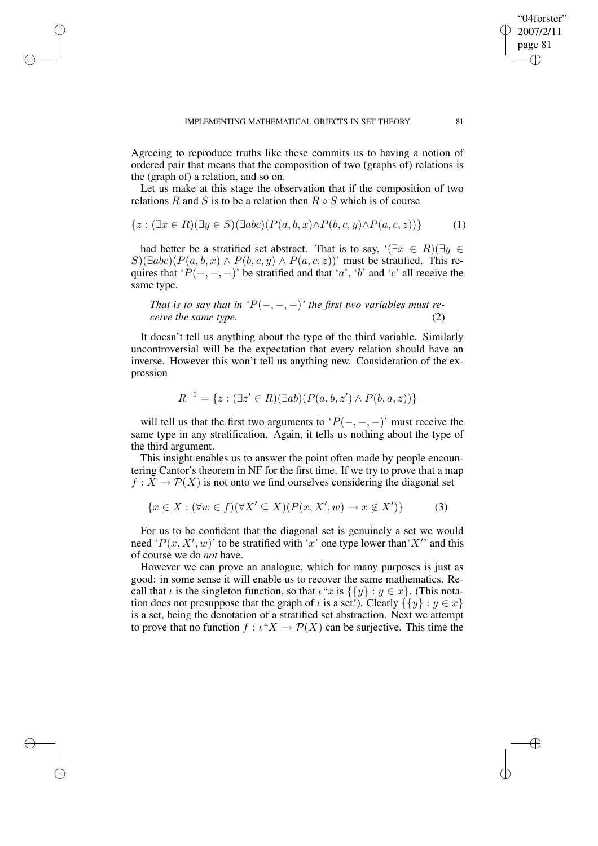✐

✐

✐

✐

Agreeing to reproduce truths like these commits us to having a notion of ordered pair that means that the composition of two (graphs of) relations is the (graph of) a relation, and so on.

Let us make at this stage the observation that if the composition of two relations R and S is to be a relation then  $R \circ S$  which is of course

$$
\{z : (\exists x \in R)(\exists y \in S)(\exists abc)(P(a,b,x) \land P(b,c,y) \land P(a,c,z))\} \tag{1}
$$

had better be a stratified set abstract. That is to say,  $\forall \exists x \in R$ )( $\exists y \in R$ )  $S$ )( $\exists abc$ )( $P(a, b, x) \wedge P(b, c, y) \wedge P(a, c, z)$ )' must be stratified. This requires that ' $P(-, -, -)$ ' be stratified and that 'a', 'b' and 'c' all receive the same type.

*That* is to say that in ' $P(-, -, -)$ ' the first two variables must re*ceive the same type.* (2)

It doesn't tell us anything about the type of the third variable. Similarly uncontroversial will be the expectation that every relation should have an inverse. However this won't tell us anything new. Consideration of the expression

$$
R^{-1} = \{ z : (\exists z' \in R)(\exists ab)(P(a, b, z') \land P(b, a, z)) \}
$$

will tell us that the first two arguments to ' $P(-, -, -)$ ' must receive the same type in any stratification. Again, it tells us nothing about the type of the third argument.

This insight enables us to answer the point often made by people encountering Cantor's theorem in NF for the first time. If we try to prove that a map  $f: X \to \mathcal{P}(X)$  is not onto we find ourselves considering the diagonal set

$$
\{x \in X : (\forall w \in f)(\forall X' \subseteq X)(P(x, X', w) \to x \notin X')\}
$$
 (3)

For us to be confident that the diagonal set is genuinely a set we would need ' $P(x, X', w)$ ' to be stratified with 'x' one type lower than 'X'' and this of course we do *not* have.

However we can prove an analogue, which for many purposes is just as good: in some sense it will enable us to recover the same mathematics. Recall that  $\iota$  is the singleton function, so that  $\iota$ "x is  $\{y\} : y \in x\}$ . (This notation does not presuppose that the graph of  $\iota$  is a set!). Clearly  $\{\{y\} : y \in x\}$ is a set, being the denotation of a stratified set abstraction. Next we attempt to prove that no function  $f : \iota^* X \to \mathcal{P}(X)$  can be surjective. This time the

"04forster" 2007/2/11 page 81

✐

✐

✐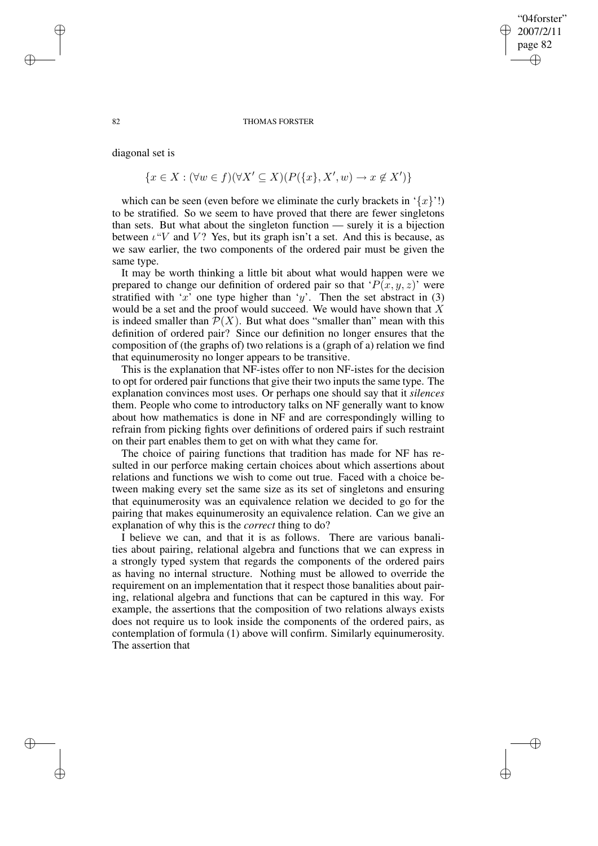## "04forster" 2007/2/11 page 82 ✐ ✐

✐

✐

#### 82 THOMAS FORSTER

diagonal set is

$$
\{x \in X : (\forall w \in f)(\forall X' \subseteq X)(P(\{x\}, X', w) \to x \notin X')\}
$$

which can be seen (even before we eliminate the curly brackets in  $\{x\}'$ !) to be stratified. So we seem to have proved that there are fewer singletons than sets. But what about the singleton function — surely it is a bijection between  $\iota$  "V and V? Yes, but its graph isn't a set. And this is because, as we saw earlier, the two components of the ordered pair must be given the same type.

It may be worth thinking a little bit about what would happen were we prepared to change our definition of ordered pair so that ' $P(x, y, z)$ ' were stratified with 'x' one type higher than 'y'. Then the set abstract in  $(3)$ would be a set and the proof would succeed. We would have shown that  $X$ is indeed smaller than  $\mathcal{P}(X)$ . But what does "smaller than" mean with this definition of ordered pair? Since our definition no longer ensures that the composition of (the graphs of) two relations is a (graph of a) relation we find that equinumerosity no longer appears to be transitive.

This is the explanation that NF-istes offer to non NF-istes for the decision to opt for ordered pair functions that give their two inputs the same type. The explanation convinces most uses. Or perhaps one should say that it *silences* them. People who come to introductory talks on NF generally want to know about how mathematics is done in NF and are correspondingly willing to refrain from picking fights over definitions of ordered pairs if such restraint on their part enables them to get on with what they came for.

The choice of pairing functions that tradition has made for NF has resulted in our perforce making certain choices about which assertions about relations and functions we wish to come out true. Faced with a choice between making every set the same size as its set of singletons and ensuring that equinumerosity was an equivalence relation we decided to go for the pairing that makes equinumerosity an equivalence relation. Can we give an explanation of why this is the *correct* thing to do?

I believe we can, and that it is as follows. There are various banalities about pairing, relational algebra and functions that we can express in a strongly typed system that regards the components of the ordered pairs as having no internal structure. Nothing must be allowed to override the requirement on an implementation that it respect those banalities about pairing, relational algebra and functions that can be captured in this way. For example, the assertions that the composition of two relations always exists does not require us to look inside the components of the ordered pairs, as contemplation of formula (1) above will confirm. Similarly equinumerosity. The assertion that

✐

✐

✐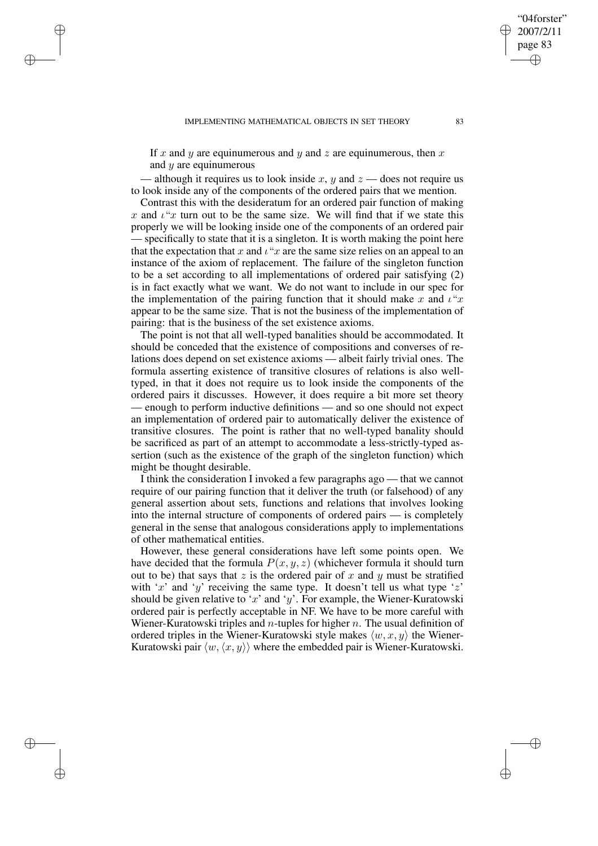✐

✐

✐

✐

If x and y are equinumerous and y and z are equinumerous, then x and  $y$  are equinumerous

- although it requires us to look inside x, y and  $z$  - does not require us to look inside any of the components of the ordered pairs that we mention.

Contrast this with the desideratum for an ordered pair function of making x and  $\iota$ "x turn out to be the same size. We will find that if we state this properly we will be looking inside one of the components of an ordered pair specifically to state that it is a singleton. It is worth making the point here that the expectation that x and  $\iota$ "x are the same size relies on an appeal to an instance of the axiom of replacement. The failure of the singleton function to be a set according to all implementations of ordered pair satisfying (2) is in fact exactly what we want. We do not want to include in our spec for the implementation of the pairing function that it should make x and  $\iota^{\alpha}x$ appear to be the same size. That is not the business of the implementation of pairing: that is the business of the set existence axioms.

The point is not that all well-typed banalities should be accommodated. It should be conceded that the existence of compositions and converses of relations does depend on set existence axioms — albeit fairly trivial ones. The formula asserting existence of transitive closures of relations is also welltyped, in that it does not require us to look inside the components of the ordered pairs it discusses. However, it does require a bit more set theory — enough to perform inductive definitions — and so one should not expect an implementation of ordered pair to automatically deliver the existence of transitive closures. The point is rather that no well-typed banality should be sacrificed as part of an attempt to accommodate a less-strictly-typed assertion (such as the existence of the graph of the singleton function) which might be thought desirable.

I think the consideration I invoked a few paragraphs ago — that we cannot require of our pairing function that it deliver the truth (or falsehood) of any general assertion about sets, functions and relations that involves looking into the internal structure of components of ordered pairs — is completely general in the sense that analogous considerations apply to implementations of other mathematical entities.

However, these general considerations have left some points open. We have decided that the formula  $P(x, y, z)$  (whichever formula it should turn out to be) that says that z is the ordered pair of x and y must be stratified with 'x' and 'y' receiving the same type. It doesn't tell us what type 'z' should be given relative to 'x' and 'y'. For example, the Wiener-Kuratowski ordered pair is perfectly acceptable in NF. We have to be more careful with Wiener-Kuratowski triples and n-tuples for higher n. The usual definition of ordered triples in the Wiener-Kuratowski style makes  $\langle w, x, y \rangle$  the Wiener-Kuratowski pair  $\langle w, \langle x, y \rangle \rangle$  where the embedded pair is Wiener-Kuratowski.

"04forster" 2007/2/11 page 83

✐

✐

✐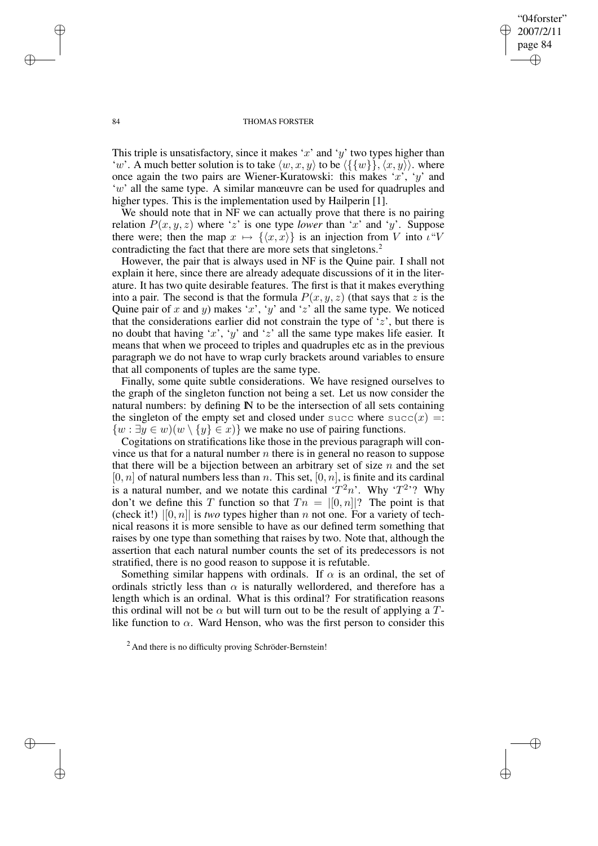"04forster" 2007/2/11 page 84 ✐ ✐

✐

✐

### 84 THOMAS FORSTER

This triple is unsatisfactory, since it makes 'x' and 'y' two types higher than 'w'. A much better solution is to take  $\langle w, x, y \rangle$  to be  $\langle {\{w\}}\overline{\},\langle x, y \rangle$ . where once again the two pairs are Wiener-Kuratowski: this makes 'x', 'y' and 'w' all the same type. A similar manœuvre can be used for quadruples and higher types. This is the implementation used by Hailperin [1].

We should note that in NF we can actually prove that there is no pairing relation  $P(x, y, z)$  where 'z' is one type *lower* than 'x' and 'y'. Suppose there were; then the map  $x \mapsto {\langle x, x \rangle}$  is an injection from V into  $\iota^{\alpha}V$ contradicting the fact that there are more sets that singletons.<sup>2</sup>

However, the pair that is always used in NF is the Quine pair. I shall not explain it here, since there are already adequate discussions of it in the literature. It has two quite desirable features. The first is that it makes everything into a pair. The second is that the formula  $P(x, y, z)$  (that says that z is the Quine pair of x and y) makes 'x', 'y' and 'z' all the same type. We noticed that the considerations earlier did not constrain the type of  $z$ , but there is no doubt that having 'x', 'y' and 'z' all the same type makes life easier. It means that when we proceed to triples and quadruples etc as in the previous paragraph we do not have to wrap curly brackets around variables to ensure that all components of tuples are the same type.

Finally, some quite subtle considerations. We have resigned ourselves to the graph of the singleton function not being a set. Let us now consider the natural numbers: by defining  $\mathbb N$  to be the intersection of all sets containing the singleton of the empty set and closed under succ where  $succ(x) =$ :  $\{w : \exists y \in w \mid (w \setminus \{y\} \in x)\}\$  we make no use of pairing functions.

Cogitations on stratifications like those in the previous paragraph will convince us that for a natural number  $n$  there is in general no reason to suppose that there will be a bijection between an arbitrary set of size  $n$  and the set  $[0, n]$  of natural numbers less than n. This set,  $[0, n]$ , is finite and its cardinal is a natural number, and we notate this cardinal  $T^2n$ . Why  $T^2$ ? Why don't we define this T function so that  $T_n = |[0,n]|$ ? The point is that (check it!)  $|[0, n]|$  is *two* types higher than *n* not one. For a variety of technical reasons it is more sensible to have as our defined term something that raises by one type than something that raises by two. Note that, although the assertion that each natural number counts the set of its predecessors is not stratified, there is no good reason to suppose it is refutable.

Something similar happens with ordinals. If  $\alpha$  is an ordinal, the set of ordinals strictly less than  $\alpha$  is naturally wellordered, and therefore has a length which is an ordinal. What is this ordinal? For stratification reasons this ordinal will not be  $\alpha$  but will turn out to be the result of applying a Tlike function to  $\alpha$ . Ward Henson, who was the first person to consider this

✐

✐

✐

 $<sup>2</sup>$  And there is no difficulty proving Schröder-Bernstein!</sup>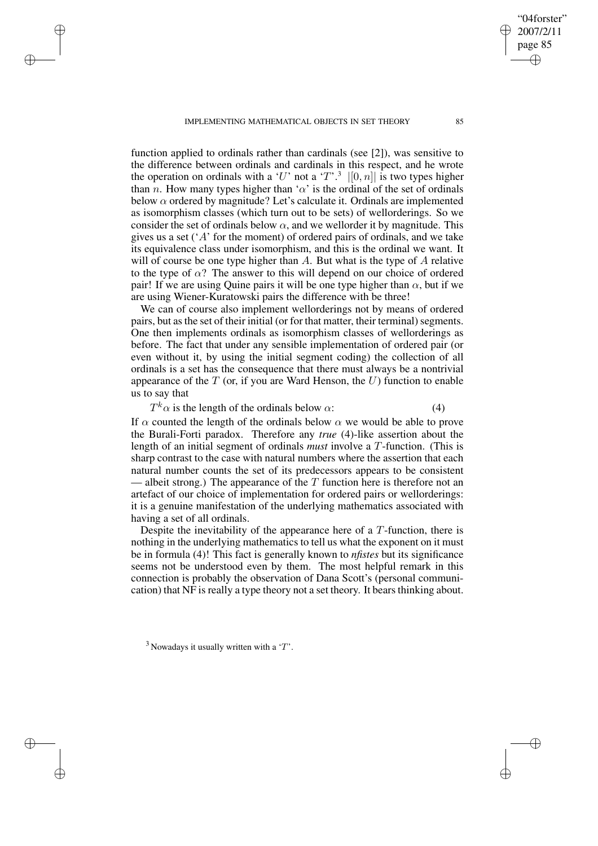IMPLEMENTING MATHEMATICAL OBJECTS IN SET THEORY 85

✐

✐

✐

✐

function applied to ordinals rather than cardinals (see [2]), was sensitive to the difference between ordinals and cardinals in this respect, and he wrote the operation on ordinals with a 'U' not a 'T'.<sup>3</sup>  $|[0,n]|$  is two types higher than *n*. How many types higher than ' $\alpha$ ' is the ordinal of the set of ordinals below  $\alpha$  ordered by magnitude? Let's calculate it. Ordinals are implemented as isomorphism classes (which turn out to be sets) of wellorderings. So we consider the set of ordinals below  $\alpha$ , and we wellorder it by magnitude. This gives us a set  $(A<sup>'</sup>$  for the moment) of ordered pairs of ordinals, and we take its equivalence class under isomorphism, and this is the ordinal we want. It will of course be one type higher than  $A$ . But what is the type of  $A$  relative to the type of  $\alpha$ ? The answer to this will depend on our choice of ordered pair! If we are using Quine pairs it will be one type higher than  $\alpha$ , but if we are using Wiener-Kuratowski pairs the difference with be three!

We can of course also implement wellorderings not by means of ordered pairs, but as the set of their initial (or for that matter, their terminal) segments. One then implements ordinals as isomorphism classes of wellorderings as before. The fact that under any sensible implementation of ordered pair (or even without it, by using the initial segment coding) the collection of all ordinals is a set has the consequence that there must always be a nontrivial appearance of the  $T$  (or, if you are Ward Henson, the  $U$ ) function to enable us to say that

 $T^k \alpha$  is the length of the ordinals below  $\alpha$ : (4)

If  $\alpha$  counted the length of the ordinals below  $\alpha$  we would be able to prove the Burali-Forti paradox. Therefore any *true* (4)-like assertion about the length of an initial segment of ordinals *must* involve a T-function. (This is sharp contrast to the case with natural numbers where the assertion that each natural number counts the set of its predecessors appears to be consistent albeit strong.) The appearance of the  $T$  function here is therefore not an artefact of our choice of implementation for ordered pairs or wellorderings: it is a genuine manifestation of the underlying mathematics associated with having a set of all ordinals.

Despite the inevitability of the appearance here of a  $T$ -function, there is nothing in the underlying mathematics to tell us what the exponent on it must be in formula (4)! This fact is generally known to *nfistes* but its significance seems not be understood even by them. The most helpful remark in this connection is probably the observation of Dana Scott's (personal communication) that NF is really a type theory not a set theory. It bears thinking about.

"04forster" 2007/2/11 page 85

✐

✐

✐

 $3$  Nowadays it usually written with a 'T'.